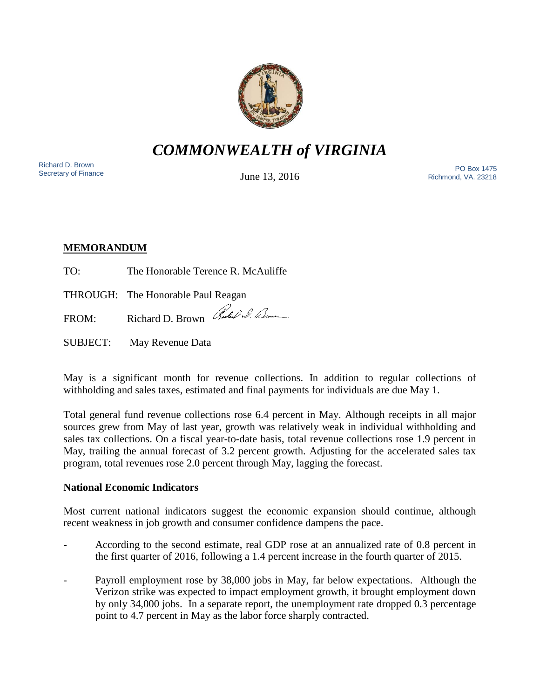

*COMMONWEALTH of VIRGINIA*

Richard D. Brown<br>Secretary of Finance

June 13, 2016

Sichard D. Brown<br>Secretary of Finance **PO Box 1475**<br>Secretary of Finance **Proposition Proposition Proposition Proposition Proposition Proposition Proposition** Richmond, VA. 23218

# **MEMORANDUM**

TO: The Honorable Terence R. McAuliffe

THROUGH: The Honorable Paul Reagan

FROM: Richard D. Brown Rubel S. Down

SUBJECT: May Revenue Data

May is a significant month for revenue collections. In addition to regular collections of withholding and sales taxes, estimated and final payments for individuals are due May 1.

Total general fund revenue collections rose 6.4 percent in May. Although receipts in all major sources grew from May of last year, growth was relatively weak in individual withholding and sales tax collections. On a fiscal year-to-date basis, total revenue collections rose 1.9 percent in May, trailing the annual forecast of 3.2 percent growth. Adjusting for the accelerated sales tax program, total revenues rose 2.0 percent through May, lagging the forecast.

# **National Economic Indicators**

Most current national indicators suggest the economic expansion should continue, although recent weakness in job growth and consumer confidence dampens the pace.

- According to the second estimate, real GDP rose at an annualized rate of 0.8 percent in the first quarter of 2016, following a 1.4 percent increase in the fourth quarter of 2015.
- Payroll employment rose by 38,000 jobs in May, far below expectations. Although the Verizon strike was expected to impact employment growth, it brought employment down by only 34,000 jobs. In a separate report, the unemployment rate dropped 0.3 percentage point to 4.7 percent in May as the labor force sharply contracted.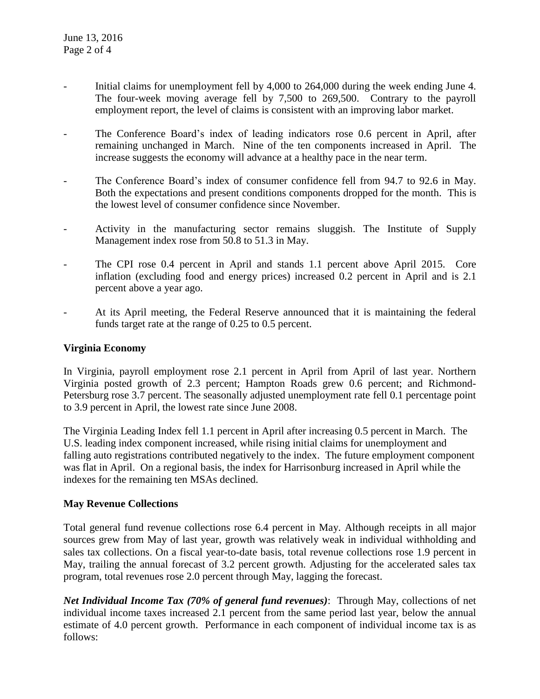- Initial claims for unemployment fell by 4,000 to 264,000 during the week ending June 4. The four-week moving average fell by 7,500 to 269,500. Contrary to the payroll employment report, the level of claims is consistent with an improving labor market.
- The Conference Board's index of leading indicators rose 0.6 percent in April, after remaining unchanged in March. Nine of the ten components increased in April. The increase suggests the economy will advance at a healthy pace in the near term.
- The Conference Board's index of consumer confidence fell from 94.7 to 92.6 in May. Both the expectations and present conditions components dropped for the month. This is the lowest level of consumer confidence since November.
- Activity in the manufacturing sector remains sluggish. The Institute of Supply Management index rose from 50.8 to 51.3 in May.
- The CPI rose 0.4 percent in April and stands 1.1 percent above April 2015. Core inflation (excluding food and energy prices) increased 0.2 percent in April and is 2.1 percent above a year ago.
- At its April meeting, the Federal Reserve announced that it is maintaining the federal funds target rate at the range of 0.25 to 0.5 percent.

### **Virginia Economy**

In Virginia, payroll employment rose 2.1 percent in April from April of last year. Northern Virginia posted growth of 2.3 percent; Hampton Roads grew 0.6 percent; and Richmond-Petersburg rose 3.7 percent. The seasonally adjusted unemployment rate fell 0.1 percentage point to 3.9 percent in April, the lowest rate since June 2008.

The Virginia Leading Index fell 1.1 percent in April after increasing 0.5 percent in March. The U.S. leading index component increased, while rising initial claims for unemployment and falling auto registrations contributed negatively to the index. The future employment component was flat in April. On a regional basis, the index for Harrisonburg increased in April while the indexes for the remaining ten MSAs declined.

### **May Revenue Collections**

Total general fund revenue collections rose 6.4 percent in May. Although receipts in all major sources grew from May of last year, growth was relatively weak in individual withholding and sales tax collections. On a fiscal year-to-date basis, total revenue collections rose 1.9 percent in May, trailing the annual forecast of 3.2 percent growth. Adjusting for the accelerated sales tax program, total revenues rose 2.0 percent through May, lagging the forecast.

*Net Individual Income Tax (70% of general fund revenues)*: Through May, collections of net individual income taxes increased 2.1 percent from the same period last year, below the annual estimate of 4.0 percent growth. Performance in each component of individual income tax is as follows: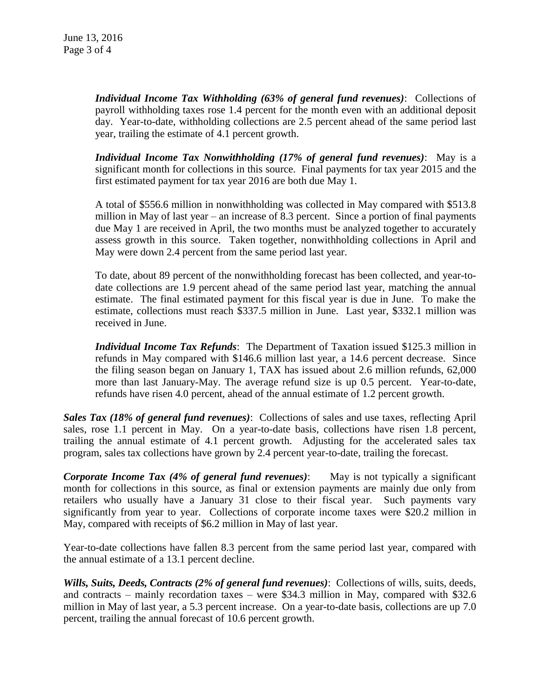*Individual Income Tax Withholding (63% of general fund revenues)*: Collections of payroll withholding taxes rose 1.4 percent for the month even with an additional deposit day. Year-to-date, withholding collections are 2.5 percent ahead of the same period last year, trailing the estimate of 4.1 percent growth.

*Individual Income Tax Nonwithholding (17% of general fund revenues)*: May is a significant month for collections in this source. Final payments for tax year 2015 and the first estimated payment for tax year 2016 are both due May 1.

A total of \$556.6 million in nonwithholding was collected in May compared with \$513.8 million in May of last year – an increase of 8.3 percent. Since a portion of final payments due May 1 are received in April, the two months must be analyzed together to accurately assess growth in this source. Taken together, nonwithholding collections in April and May were down 2.4 percent from the same period last year.

To date, about 89 percent of the nonwithholding forecast has been collected, and year-todate collections are 1.9 percent ahead of the same period last year, matching the annual estimate. The final estimated payment for this fiscal year is due in June. To make the estimate, collections must reach \$337.5 million in June. Last year, \$332.1 million was received in June.

*Individual Income Tax Refunds*: The Department of Taxation issued \$125.3 million in refunds in May compared with \$146.6 million last year, a 14.6 percent decrease. Since the filing season began on January 1, TAX has issued about 2.6 million refunds, 62,000 more than last January-May. The average refund size is up 0.5 percent. Year-to-date, refunds have risen 4.0 percent, ahead of the annual estimate of 1.2 percent growth.

*Sales Tax (18% of general fund revenues)*: Collections of sales and use taxes, reflecting April sales, rose 1.1 percent in May. On a year-to-date basis, collections have risen 1.8 percent, trailing the annual estimate of 4.1 percent growth. Adjusting for the accelerated sales tax program, sales tax collections have grown by 2.4 percent year-to-date, trailing the forecast.

*Corporate Income Tax (4% of general fund revenues)*: May is not typically a significant month for collections in this source, as final or extension payments are mainly due only from retailers who usually have a January 31 close to their fiscal year. Such payments vary significantly from year to year. Collections of corporate income taxes were \$20.2 million in May, compared with receipts of \$6.2 million in May of last year.

Year-to-date collections have fallen 8.3 percent from the same period last year, compared with the annual estimate of a 13.1 percent decline.

*Wills, Suits, Deeds, Contracts (2% of general fund revenues)*: Collections of wills, suits, deeds, and contracts – mainly recordation taxes – were \$34.3 million in May, compared with \$32.6 million in May of last year, a 5.3 percent increase. On a year-to-date basis, collections are up 7.0 percent, trailing the annual forecast of 10.6 percent growth.